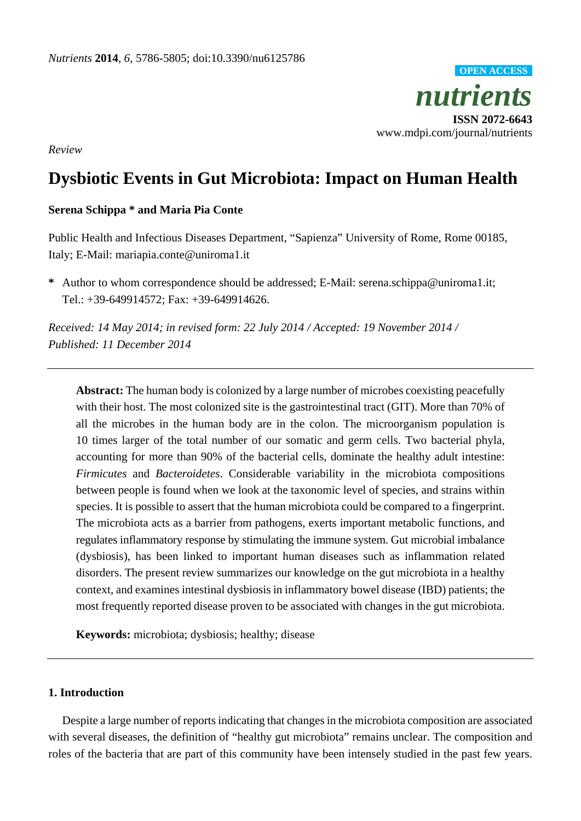*nutrients* **ISSN 2072-6643** www.mdpi.com/journal/nutrients **OPEN ACCESS**

*Review*

# **Dysbiotic Events in Gut Microbiota: Impact on Human Health**

# **Serena Schippa \* and Maria Pia Conte**

Public Health and Infectious Diseases Department, "Sapienza" University of Rome, Rome 00185, Italy; E-Mail: mariapia.conte@uniroma1.it

**\*** Author to whom correspondence should be addressed; E-Mail: serena.schippa@uniroma1.it; Tel.: +39-649914572; Fax: +39-649914626.

*Received: 14 May 2014; in revised form: 22 July 2014 / Accepted: 19 November 2014 / Published: 11 December 2014*

**Abstract:** The human body is colonized by a large number of microbes coexisting peacefully with their host. The most colonized site is the gastrointestinal tract (GIT). More than 70% of all the microbes in the human body are in the colon. The microorganism population is 10 times larger of the total number of our somatic and germ cells. Two bacterial phyla, accounting for more than 90% of the bacterial cells, dominate the healthy adult intestine: *Firmicutes* and *Bacteroidetes*. Considerable variability in the microbiota compositions between people is found when we look at the taxonomic level of species, and strains within species. It is possible to assert that the human microbiota could be compared to a fingerprint. The microbiota acts as a barrier from pathogens, exerts important metabolic functions, and regulates inflammatory response by stimulating the immune system. Gut microbial imbalance (dysbiosis), has been linked to important human diseases such as inflammation related disorders. The present review summarizes our knowledge on the gut microbiota in a healthy context, and examines intestinal dysbiosis in inflammatory bowel disease (IBD) patients; the most frequently reported disease proven to be associated with changes in the gut microbiota.

**Keywords:** microbiota; dysbiosis; healthy; disease

# **1. Introduction**

Despite a large number of reports indicating that changes in the microbiota composition are associated with several diseases, the definition of "healthy gut microbiota" remains unclear. The composition and roles of the bacteria that are part of this community have been intensely studied in the past few years.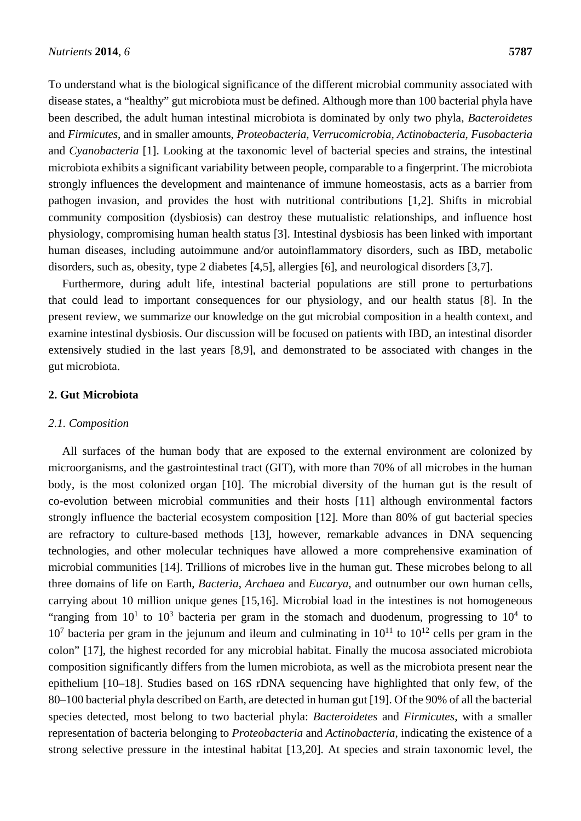To understand what is the biological significance of the different microbial community associated with disease states, a "healthy" gut microbiota must be defined. Although more than 100 bacterial phyla have been described, the adult human intestinal microbiota is dominated by only two phyla, *Bacteroidetes* and *Firmicutes*, and in smaller amounts, *Proteobacteria, Verrucomicrobia, Actinobacteria, Fusobacteria* and *Cyanobacteria* [1]. Looking at the taxonomic level of bacterial species and strains, the intestinal microbiota exhibits a significant variability between people, comparable to a fingerprint. The microbiota strongly influences the development and maintenance of immune homeostasis, acts as a barrier from pathogen invasion, and provides the host with nutritional contributions [1,2]. Shifts in microbial community composition (dysbiosis) can destroy these mutualistic relationships, and influence host physiology, compromising human health status [3]. Intestinal dysbiosis has been linked with important human diseases, including autoimmune and/or autoinflammatory disorders, such as IBD, metabolic disorders, such as, obesity, type 2 diabetes [4,5], allergies [6], and neurological disorders [3,7].

Furthermore, during adult life, intestinal bacterial populations are still prone to perturbations that could lead to important consequences for our physiology, and our health status [8]. In the present review, we summarize our knowledge on the gut microbial composition in a health context, and examine intestinal dysbiosis. Our discussion will be focused on patients with IBD, an intestinal disorder extensively studied in the last years [8,9], and demonstrated to be associated with changes in the gut microbiota.

## **2. Gut Microbiota**

## *2.1. Composition*

All surfaces of the human body that are exposed to the external environment are colonized by microorganisms, and the gastrointestinal tract (GIT), with more than 70% of all microbes in the human body, is the most colonized organ [10]. The microbial diversity of the human gut is the result of co-evolution between microbial communities and their hosts [11] although environmental factors strongly influence the bacterial ecosystem composition [12]. More than 80% of gut bacterial species are refractory to culture-based methods [13], however, remarkable advances in DNA sequencing technologies, and other molecular techniques have allowed a more comprehensive examination of microbial communities [14]. Trillions of microbes live in the human gut. These microbes belong to all three domains of life on Earth, *Bacteria*, *Archaea* and *Eucarya*, and outnumber our own human cells, carrying about 10 million unique genes [15,16]. Microbial load in the intestines is not homogeneous "ranging from  $10<sup>1</sup>$  to  $10<sup>3</sup>$  bacteria per gram in the stomach and duodenum, progressing to  $10<sup>4</sup>$  to  $10<sup>7</sup>$  bacteria per gram in the jejunum and ileum and culminating in  $10<sup>11</sup>$  to  $10<sup>12</sup>$  cells per gram in the colon" [17], the highest recorded for any microbial habitat. Finally the mucosa associated microbiota composition significantly differs from the lumen microbiota, as well as the microbiota present near the epithelium [10–18]. Studies based on 16S rDNA sequencing have highlighted that only few, of the 80–100 bacterial phyla described on Earth, are detected in human gut [19]. Of the 90% of all the bacterial species detected, most belong to two bacterial phyla: *Bacteroidetes* and *Firmicutes*, with a smaller representation of bacteria belonging to *Proteobacteria* and *Actinobacteria*, indicating the existence of a strong selective pressure in the intestinal habitat [13,20]. At species and strain taxonomic level, the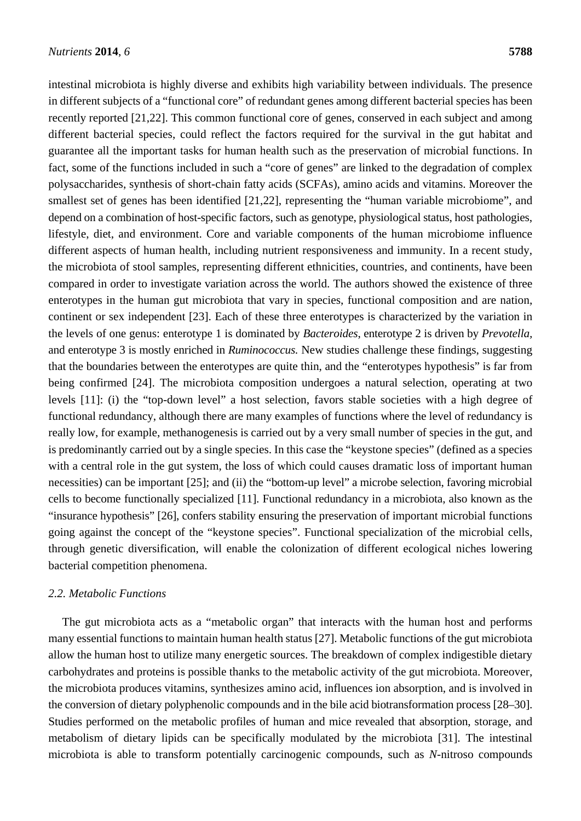intestinal microbiota is highly diverse and exhibits high variability between individuals. The presence in different subjects of a "functional core" of redundant genes among different bacterial species has been recently reported [21,22]. This common functional core of genes, conserved in each subject and among different bacterial species, could reflect the factors required for the survival in the gut habitat and guarantee all the important tasks for human health such as the preservation of microbial functions. In fact, some of the functions included in such a "core of genes" are linked to the degradation of complex polysaccharides, synthesis of short-chain fatty acids (SCFAs), amino acids and vitamins. Moreover the smallest set of genes has been identified [21,22], representing the "human variable microbiome", and depend on a combination of host-specific factors, such as genotype, physiological status, host pathologies, lifestyle, diet, and environment. Core and variable components of the human microbiome influence different aspects of human health, including nutrient responsiveness and immunity. In a recent study, the microbiota of stool samples, representing different ethnicities, countries, and continents, have been compared in order to investigate variation across the world. The authors showed the existence of three enterotypes in the human gut microbiota that vary in species, functional composition and are nation, continent or sex independent [23]. Each of these three enterotypes is characterized by the variation in the levels of one genus: enterotype 1 is dominated by *Bacteroides*, enterotype 2 is driven by *Prevotella,* and enterotype 3 is mostly enriched in *Ruminococcus.* New studies challenge these findings, suggesting that the boundaries between the enterotypes are quite thin, and the "enterotypes hypothesis" is far from being confirmed [24]. The microbiota composition undergoes a natural selection, operating at two levels [11]: (i) the "top-down level" a host selection, favors stable societies with a high degree of functional redundancy, although there are many examples of functions where the level of redundancy is really low, for example, methanogenesis is carried out by a very small number of species in the gut, and is predominantly carried out by a single species. In this case the "keystone species" (defined as a species with a central role in the gut system, the loss of which could causes dramatic loss of important human necessities) can be important [25]; and (ii) the "bottom-up level" a microbe selection, favoring microbial cells to become functionally specialized [11]. Functional redundancy in a microbiota, also known as the "insurance hypothesis" [26], confers stability ensuring the preservation of important microbial functions going against the concept of the "keystone species". Functional specialization of the microbial cells, through genetic diversification, will enable the colonization of different ecological niches lowering bacterial competition phenomena.

# *2.2. Metabolic Functions*

The gut microbiota acts as a "metabolic organ" that interacts with the human host and performs many essential functions to maintain human health status [27]. Metabolic functions of the gut microbiota allow the human host to utilize many energetic sources. The breakdown of complex indigestible dietary carbohydrates and proteins is possible thanks to the metabolic activity of the gut microbiota. Moreover, the microbiota produces vitamins, synthesizes amino acid, influences ion absorption, and is involved in the conversion of dietary polyphenolic compounds and in the bile acid biotransformation process [28–30]. Studies performed on the metabolic profiles of human and mice revealed that absorption, storage, and metabolism of dietary lipids can be specifically modulated by the microbiota [31]. The intestinal microbiota is able to transform potentially carcinogenic compounds, such as *N*-nitroso compounds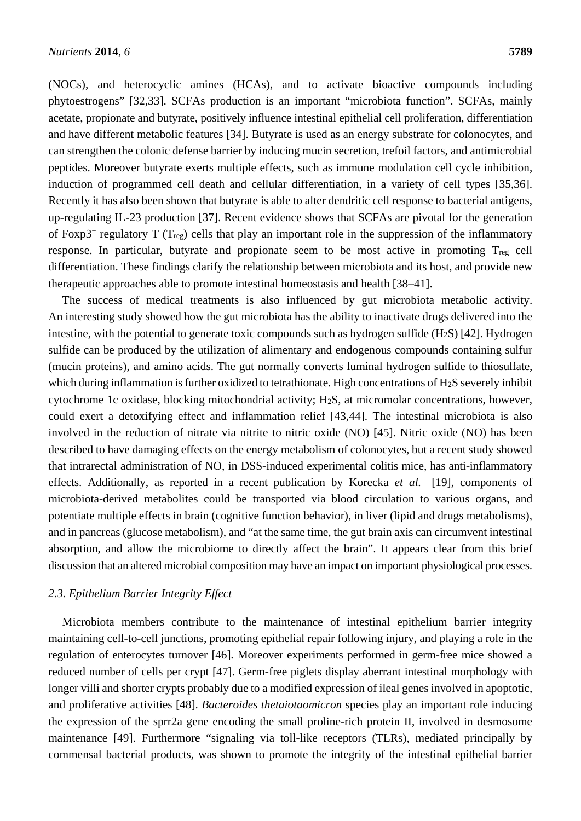(NOCs), and heterocyclic amines (HCAs), and to activate bioactive compounds including phytoestrogens" [32,33]. SCFAs production is an important "microbiota function". SCFAs, mainly acetate, propionate and butyrate, positively influence intestinal epithelial cell proliferation, differentiation and have different metabolic features [34]. Butyrate is used as an energy substrate for colonocytes, and can strengthen the colonic defense barrier by inducing mucin secretion, trefoil factors, and antimicrobial peptides. Moreover butyrate exerts multiple effects, such as immune modulation cell cycle inhibition, induction of programmed cell death and cellular differentiation, in a variety of cell types [35,36]. Recently it has also been shown that butyrate is able to alter dendritic cell response to bacterial antigens, up-regulating IL-23 production [37]. Recent evidence shows that SCFAs are pivotal for the generation of Foxp3<sup>+</sup> regulatory T ( $T_{\text{reg}}$ ) cells that play an important role in the suppression of the inflammatory response. In particular, butyrate and propionate seem to be most active in promoting Treg cell differentiation. These findings clarify the relationship between microbiota and its host, and provide new therapeutic approaches able to promote intestinal homeostasis and health [38–41].

The success of medical treatments is also influenced by gut microbiota metabolic activity. An interesting study showed how the gut microbiota has the ability to inactivate drugs delivered into the intestine, with the potential to generate toxic compounds such as hydrogen sulfide  $(H_2S)$  [42]. Hydrogen sulfide can be produced by the utilization of alimentary and endogenous compounds containing sulfur (mucin proteins), and amino acids. The gut normally converts luminal hydrogen sulfide to thiosulfate, which during inflammation is further oxidized to tetrathionate. High concentrations of H<sub>2</sub>S severely inhibit cytochrome 1c oxidase, blocking mitochondrial activity; H2S, at micromolar concentrations, however, could exert a detoxifying effect and inflammation relief [43,44]. The intestinal microbiota is also involved in the reduction of nitrate via nitrite to nitric oxide (NO) [45]. Nitric oxide (NO) has been described to have damaging effects on the energy metabolism of colonocytes, but a recent study showed that intrarectal administration of NO, in DSS-induced experimental colitis mice, has anti-inflammatory effects. Additionally, as reported in a recent publication by Korecka *et al.* [19], components of microbiota-derived metabolites could be transported via blood circulation to various organs, and potentiate multiple effects in brain (cognitive function behavior), in liver (lipid and drugs metabolisms), and in pancreas (glucose metabolism), and "at the same time, the gut brain axis can circumvent intestinal absorption, and allow the microbiome to directly affect the brain". It appears clear from this brief discussion that an altered microbial composition may have an impact on important physiological processes.

# *2.3. Epithelium Barrier Integrity Effect*

Microbiota members contribute to the maintenance of intestinal epithelium barrier integrity maintaining cell-to-cell junctions, promoting epithelial repair following injury, and playing a role in the regulation of enterocytes turnover [46]. Moreover experiments performed in germ-free mice showed a reduced number of cells per crypt [47]. Germ-free piglets display aberrant intestinal morphology with longer villi and shorter crypts probably due to a modified expression of ileal genes involved in apoptotic, and proliferative activities [48]. *Bacteroides thetaiotaomicron* species play an important role inducing the expression of the sprr2a gene encoding the small proline-rich protein II, involved in desmosome maintenance [49]. Furthermore "signaling via toll-like receptors (TLRs), mediated principally by commensal bacterial products, was shown to promote the integrity of the intestinal epithelial barrier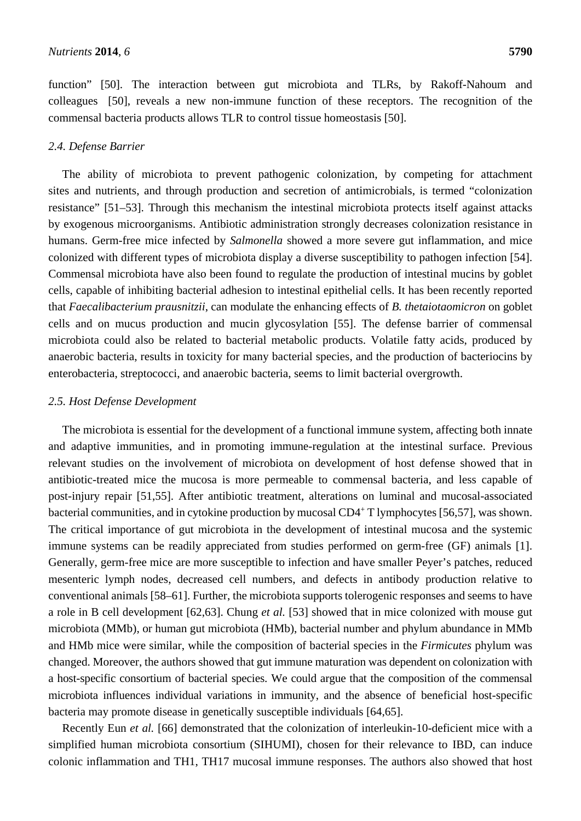function" [50]. The interaction between gut microbiota and TLRs, by Rakoff-Nahoum and colleagues [50], reveals a new non-immune function of these receptors. The recognition of the commensal bacteria products allows TLR to control tissue homeostasis [50].

## *2.4. Defense Barrier*

The ability of microbiota to prevent pathogenic colonization, by competing for attachment sites and nutrients, and through production and secretion of antimicrobials, is termed "colonization resistance" [51–53]. Through this mechanism the intestinal microbiota protects itself against attacks by exogenous microorganisms. Antibiotic administration strongly decreases colonization resistance in humans. Germ-free mice infected by *Salmonella* showed a more severe gut inflammation, and mice colonized with different types of microbiota display a diverse susceptibility to pathogen infection [54]. Commensal microbiota have also been found to regulate the production of intestinal mucins by goblet cells, capable of inhibiting bacterial adhesion to intestinal epithelial cells. It has been recently reported that *Faecalibacterium prausnitzii*, can modulate the enhancing effects of *B. thetaiotaomicron* on goblet cells and on mucus production and mucin glycosylation [55]. The defense barrier of commensal microbiota could also be related to bacterial metabolic products. Volatile fatty acids, produced by anaerobic bacteria, results in toxicity for many bacterial species, and the production of bacteriocins by enterobacteria, streptococci, and anaerobic bacteria, seems to limit bacterial overgrowth.

#### *2.5. Host Defense Development*

The microbiota is essential for the development of a functional immune system, affecting both innate and adaptive immunities, and in promoting immune-regulation at the intestinal surface. Previous relevant studies on the involvement of microbiota on development of host defense showed that in antibiotic-treated mice the mucosa is more permeable to commensal bacteria, and less capable of post-injury repair [51,55]. After antibiotic treatment, alterations on luminal and mucosal-associated bacterial communities, and in cytokine production by mucosal CD4<sup>+</sup> T lymphocytes [56,57], was shown. The critical importance of gut microbiota in the development of intestinal mucosa and the systemic immune systems can be readily appreciated from studies performed on germ-free (GF) animals [1]. Generally, germ-free mice are more susceptible to infection and have smaller Peyer's patches, reduced mesenteric lymph nodes, decreased cell numbers, and defects in antibody production relative to conventional animals [58–61]. Further, the microbiota supports tolerogenic responses and seems to have a role in B cell development [62,63]. Chung *et al.* [53] showed that in mice colonized with mouse gut microbiota (MMb), or human gut microbiota (HMb), bacterial number and phylum abundance in MMb and HMb mice were similar, while the composition of bacterial species in the *Firmicutes* phylum was changed. Moreover, the authors showed that gut immune maturation was dependent on colonization with a host-specific consortium of bacterial species. We could argue that the composition of the commensal microbiota influences individual variations in immunity, and the absence of beneficial host-specific bacteria may promote disease in genetically susceptible individuals [64,65].

Recently Eun *et al.* [66] demonstrated that the colonization of interleukin-10-deficient mice with a simplified human microbiota consortium (SIHUMI), chosen for their relevance to IBD, can induce colonic inflammation and TH1, TH17 mucosal immune responses. The authors also showed that host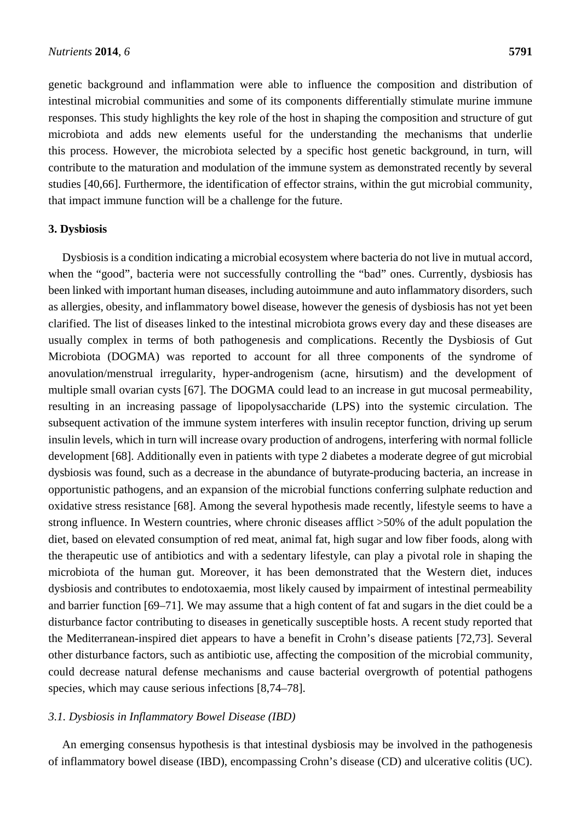genetic background and inflammation were able to influence the composition and distribution of intestinal microbial communities and some of its components differentially stimulate murine immune responses. This study highlights the key role of the host in shaping the composition and structure of gut microbiota and adds new elements useful for the understanding the mechanisms that underlie this process. However, the microbiota selected by a specific host genetic background, in turn, will contribute to the maturation and modulation of the immune system as demonstrated recently by several studies [40,66]. Furthermore, the identification of effector strains, within the gut microbial community, that impact immune function will be a challenge for the future.

#### **3. Dysbiosis**

Dysbiosis is a condition indicating a microbial ecosystem where bacteria do not live in mutual accord, when the "good", bacteria were not successfully controlling the "bad" ones. Currently, dysbiosis has been linked with important human diseases, including autoimmune and auto inflammatory disorders, such as allergies, obesity, and inflammatory bowel disease, however the genesis of dysbiosis has not yet been clarified. The list of diseases linked to the intestinal microbiota grows every day and these diseases are usually complex in terms of both pathogenesis and complications. Recently the Dysbiosis of Gut Microbiota (DOGMA) was reported to account for all three components of the syndrome of anovulation/menstrual irregularity, hyper-androgenism (acne, hirsutism) and the development of multiple small ovarian cysts [67]. The DOGMA could lead to an increase in gut mucosal permeability, resulting in an increasing passage of lipopolysaccharide (LPS) into the systemic circulation. The subsequent activation of the immune system interferes with insulin receptor function, driving up serum insulin levels, which in turn will increase ovary production of androgens, interfering with normal follicle development [68]. Additionally even in patients with type 2 diabetes a moderate degree of gut microbial dysbiosis was found, such as a decrease in the abundance of butyrate-producing bacteria, an increase in opportunistic pathogens, and an expansion of the microbial functions conferring sulphate reduction and oxidative stress resistance [68]. Among the several hypothesis made recently, lifestyle seems to have a strong influence. In Western countries, where chronic diseases afflict >50% of the adult population the diet, based on elevated consumption of red meat, animal fat, high sugar and low fiber foods, along with the therapeutic use of antibiotics and with a sedentary lifestyle, can play a pivotal role in shaping the microbiota of the human gut. Moreover, it has been demonstrated that the Western diet, induces dysbiosis and contributes to endotoxaemia, most likely caused by impairment of intestinal permeability and barrier function [69–71]. We may assume that a high content of fat and sugars in the diet could be a disturbance factor contributing to diseases in genetically susceptible hosts. A recent study reported that the Mediterranean-inspired diet appears to have a benefit in Crohn's disease patients [72,73]. Several other disturbance factors, such as antibiotic use, affecting the composition of the microbial community, could decrease natural defense mechanisms and cause bacterial overgrowth of potential pathogens species, which may cause serious infections [8,74–78].

## *3.1. Dysbiosis in Inflammatory Bowel Disease (IBD)*

An emerging consensus hypothesis is that intestinal dysbiosis may be involved in the pathogenesis of inflammatory bowel disease (IBD), encompassing Crohn's disease (CD) and ulcerative colitis (UC).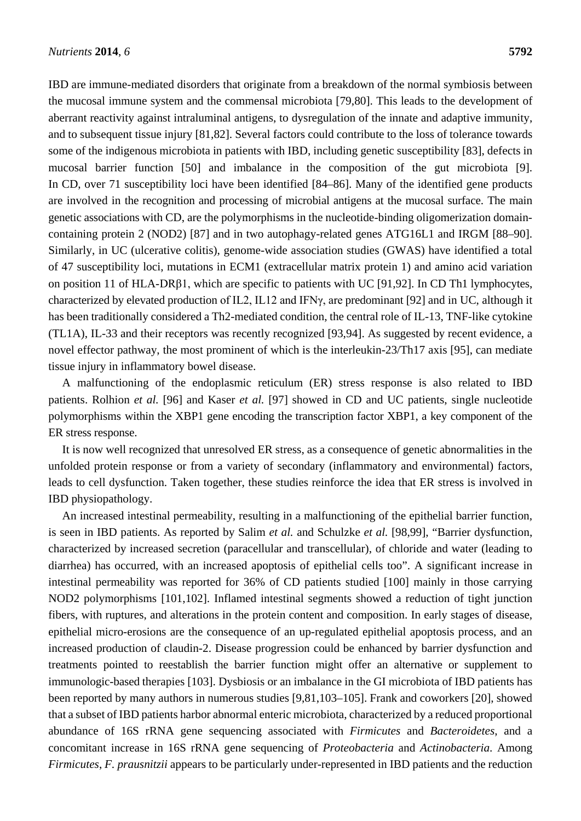IBD are immune-mediated disorders that originate from a breakdown of the normal symbiosis between the mucosal immune system and the commensal microbiota [79,80]. This leads to the development of aberrant reactivity against intraluminal antigens, to dysregulation of the innate and adaptive immunity, and to subsequent tissue injury [81,82]. Several factors could contribute to the loss of tolerance towards some of the indigenous microbiota in patients with IBD, including genetic susceptibility [83], defects in mucosal barrier function [50] and imbalance in the composition of the gut microbiota [9]. In CD, over 71 susceptibility loci have been identified [84–86]. Many of the identified gene products are involved in the recognition and processing of microbial antigens at the mucosal surface. The main genetic associations with CD, are the polymorphisms in the nucleotide-binding oligomerization domaincontaining protein 2 (NOD2) [87] and in two autophagy-related genes ATG16L1 and IRGM [88–90]. Similarly, in UC (ulcerative colitis), genome-wide association studies (GWAS) have identified a total of 47 susceptibility loci, mutations in ECM1 (extracellular matrix protein 1) and amino acid variation on position 11 of HLA-DRβ1, which are specific to patients with UC [91,92]. In CD Th1 lymphocytes, characterized by elevated production of IL2, IL12 and IFNγ, are predominant [92] and in UC, although it has been traditionally considered a Th2-mediated condition, the central role of IL-13, TNF-like cytokine (TL1A), IL-33 and their receptors was recently recognized [93,94]. As suggested by recent evidence, a novel effector pathway, the most prominent of which is the interleukin-23/Th17 axis [95], can mediate tissue injury in inflammatory bowel disease.

A malfunctioning of the endoplasmic reticulum (ER) stress response is also related to IBD patients. Rolhion *et al.* [96] and Kaser *et al.* [97] showed in CD and UC patients, single nucleotide polymorphisms within the XBP1 gene encoding the transcription factor XBP1, a key component of the ER stress response.

It is now well recognized that unresolved ER stress, as a consequence of genetic abnormalities in the unfolded protein response or from a variety of secondary (inflammatory and environmental) factors, leads to cell dysfunction. Taken together, these studies reinforce the idea that ER stress is involved in IBD physiopathology.

An increased intestinal permeability, resulting in a malfunctioning of the epithelial barrier function, is seen in IBD patients. As reported by Salim *et al.* and Schulzke *et al.* [98,99], "Barrier dysfunction, characterized by increased secretion (paracellular and transcellular), of chloride and water (leading to diarrhea) has occurred, with an increased apoptosis of epithelial cells too". A significant increase in intestinal permeability was reported for 36% of CD patients studied [100] mainly in those carrying NOD2 polymorphisms [101,102]. Inflamed intestinal segments showed a reduction of tight junction fibers, with ruptures, and alterations in the protein content and composition. In early stages of disease, epithelial micro-erosions are the consequence of an up-regulated epithelial apoptosis process, and an increased production of claudin-2. Disease progression could be enhanced by barrier dysfunction and treatments pointed to reestablish the barrier function might offer an alternative or supplement to immunologic-based therapies [103]. Dysbiosis or an imbalance in the GI microbiota of IBD patients has been reported by many authors in numerous studies [9,81,103–105]. Frank and coworkers [20], showed that a subset of IBD patients harbor abnormal enteric microbiota, characterized by a reduced proportional abundance of 16S rRNA gene sequencing associated with *Firmicutes* and *Bacteroidetes*, and a concomitant increase in 16S rRNA gene sequencing of *Proteobacteria* and *Actinobacteria*. Among *Firmicutes*, *F. prausnitzii* appears to be particularly under-represented in IBD patients and the reduction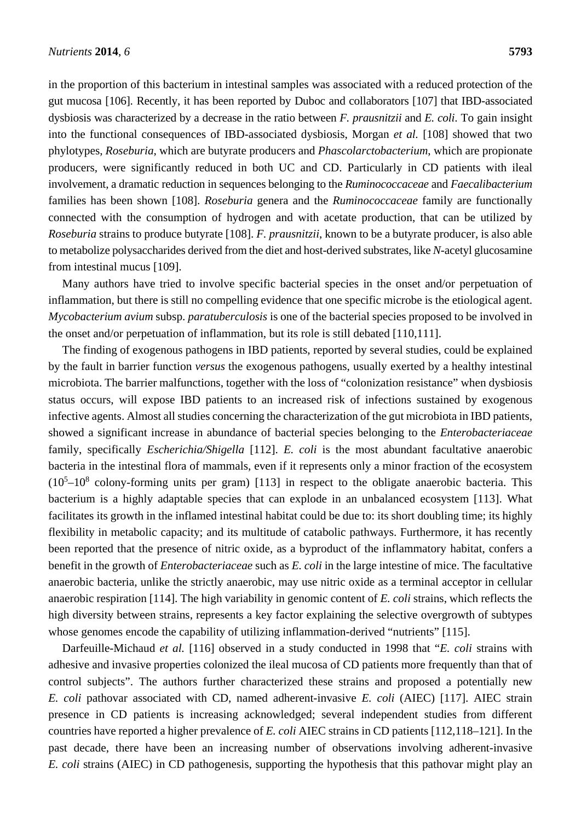in the proportion of this bacterium in intestinal samples was associated with a reduced protection of the gut mucosa [106]. Recently, it has been reported by Duboc and collaborators [107] that IBD-associated dysbiosis was characterized by a decrease in the ratio between *F. prausnitzii* and *E. coli*. To gain insight into the functional consequences of IBD-associated dysbiosis, Morgan *et al.* [108] showed that two phylotypes, *Roseburia*, which are butyrate producers and *Phascolarctobacterium*, which are propionate producers, were significantly reduced in both UC and CD. Particularly in CD patients with ileal involvement, a dramatic reduction in sequences belonging to the *Ruminococcaceae* and *Faecalibacterium* families has been shown [108]. *Roseburia* genera and the *Ruminococcaceae* family are functionally connected with the consumption of hydrogen and with acetate production, that can be utilized by *Roseburia* strains to produce butyrate [108]. *F. prausnitzii*, known to be a butyrate producer, is also able to metabolize polysaccharides derived from the diet and host-derived substrates, like *N*-acetyl glucosamine from intestinal mucus [109].

Many authors have tried to involve specific bacterial species in the onset and/or perpetuation of inflammation, but there is still no compelling evidence that one specific microbe is the etiological agent. *Mycobacterium avium* subsp. *paratuberculosis* is one of the bacterial species proposed to be involved in the onset and/or perpetuation of inflammation, but its role is still debated [110,111].

The finding of exogenous pathogens in IBD patients, reported by several studies, could be explained by the fault in barrier function *versus* the exogenous pathogens, usually exerted by a healthy intestinal microbiota. The barrier malfunctions, together with the loss of "colonization resistance" when dysbiosis status occurs, will expose IBD patients to an increased risk of infections sustained by exogenous infective agents. Almost all studies concerning the characterization of the gut microbiota in IBD patients, showed a significant increase in abundance of bacterial species belonging to the *Enterobacteriaceae* family, specifically *Escherichia/Shigella* [112]. *E. coli* is the most abundant facultative anaerobic bacteria in the intestinal flora of mammals, even if it represents only a minor fraction of the ecosystem  $(10<sup>5</sup>-10<sup>8</sup>$  colony-forming units per gram) [113] in respect to the obligate anaerobic bacteria. This bacterium is a highly adaptable species that can explode in an unbalanced ecosystem [113]. What facilitates its growth in the inflamed intestinal habitat could be due to: its short doubling time; its highly flexibility in metabolic capacity; and its multitude of catabolic pathways. Furthermore, it has recently been reported that the presence of nitric oxide, as a byproduct of the inflammatory habitat, confers a benefit in the growth of *Enterobacteriaceae* such as *E. coli* in the large intestine of mice. The facultative anaerobic bacteria, unlike the strictly anaerobic, may use nitric oxide as a terminal acceptor in cellular anaerobic respiration [114]. The high variability in genomic content of *E. coli* strains, which reflects the high diversity between strains, represents a key factor explaining the selective overgrowth of subtypes whose genomes encode the capability of utilizing inflammation-derived "nutrients" [115].

Darfeuille-Michaud *et al.* [116] observed in a study conducted in 1998 that "*E. coli* strains with adhesive and invasive properties colonized the ileal mucosa of CD patients more frequently than that of control subjects". The authors further characterized these strains and proposed a potentially new *E. coli* pathovar associated with CD, named adherent-invasive *E. coli* (AIEC) [117]. AIEC strain presence in CD patients is increasing acknowledged; several independent studies from different countries have reported a higher prevalence of *E. coli* AIEC strains in CD patients [112,118–121]. In the past decade, there have been an increasing number of observations involving adherent-invasive *E. coli* strains (AIEC) in CD pathogenesis, supporting the hypothesis that this pathovar might play an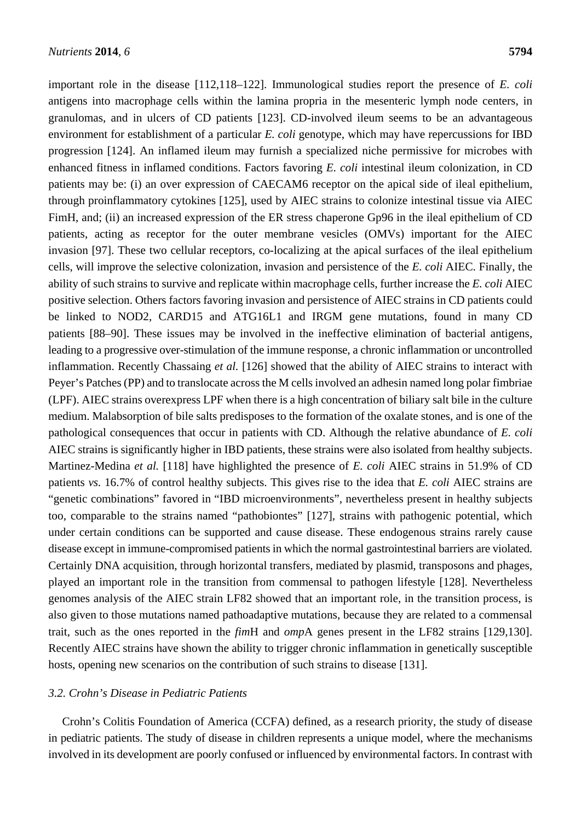important role in the disease [112,118–122]. Immunological studies report the presence of *E. coli* antigens into macrophage cells within the lamina propria in the mesenteric lymph node centers, in granulomas, and in ulcers of CD patients [123]. CD-involved ileum seems to be an advantageous environment for establishment of a particular *E. coli* genotype, which may have repercussions for IBD progression [124]. An inflamed ileum may furnish a specialized niche permissive for microbes with enhanced fitness in inflamed conditions. Factors favoring *E. coli* intestinal ileum colonization, in CD patients may be: (i) an over expression of CAECAM6 receptor on the apical side of ileal epithelium, through proinflammatory cytokines [125], used by AIEC strains to colonize intestinal tissue via AIEC FimH, and; (ii) an increased expression of the ER stress chaperone Gp96 in the ileal epithelium of CD patients, acting as receptor for the outer membrane vesicles (OMVs) important for the AIEC invasion [97]. These two cellular receptors, co-localizing at the apical surfaces of the ileal epithelium cells, will improve the selective colonization, invasion and persistence of the *E. coli* AIEC. Finally, the ability of such strains to survive and replicate within macrophage cells, further increase the *E. coli* AIEC positive selection. Others factors favoring invasion and persistence of AIEC strains in CD patients could be linked to NOD2, CARD15 and ATG16L1 and IRGM gene mutations, found in many CD patients [88–90]. These issues may be involved in the ineffective elimination of bacterial antigens, leading to a progressive over-stimulation of the immune response, a chronic inflammation or uncontrolled inflammation. Recently Chassaing *et al.* [126] showed that the ability of AIEC strains to interact with Peyer's Patches (PP) and to translocate across the M cells involved an adhesin named long polar fimbriae (LPF). AIEC strains overexpress LPF when there is a high concentration of biliary salt bile in the culture medium. Malabsorption of bile salts predisposes to the formation of the oxalate stones, and is one of the pathological consequences that occur in patients with CD. Although the relative abundance of *E. coli* AIEC strains is significantly higher in IBD patients, these strains were also isolated from healthy subjects. Martinez-Medina *et al.* [118] have highlighted the presence of *E. coli* AIEC strains in 51.9% of CD patients *vs.* 16.7% of control healthy subjects. This gives rise to the idea that *E. coli* AIEC strains are "genetic combinations" favored in "IBD microenvironments", nevertheless present in healthy subjects too, comparable to the strains named "pathobiontes" [127], strains with pathogenic potential, which under certain conditions can be supported and cause disease. These endogenous strains rarely cause disease except in immune-compromised patients in which the normal gastrointestinal barriers are violated. Certainly DNA acquisition, through horizontal transfers, mediated by plasmid, transposons and phages, played an important role in the transition from commensal to pathogen lifestyle [128]. Nevertheless genomes analysis of the AIEC strain LF82 showed that an important role, in the transition process, is also given to those mutations named pathoadaptive mutations, because they are related to a commensal trait, such as the ones reported in the *fim*H and *omp*A genes present in the LF82 strains [129,130]. Recently AIEC strains have shown the ability to trigger chronic inflammation in genetically susceptible hosts, opening new scenarios on the contribution of such strains to disease [131].

#### *3.2. Crohn's Disease in Pediatric Patients*

Crohn's Colitis Foundation of America (CCFA) defined, as a research priority, the study of disease in pediatric patients. The study of disease in children represents a unique model, where the mechanisms involved in its development are poorly confused or influenced by environmental factors. In contrast with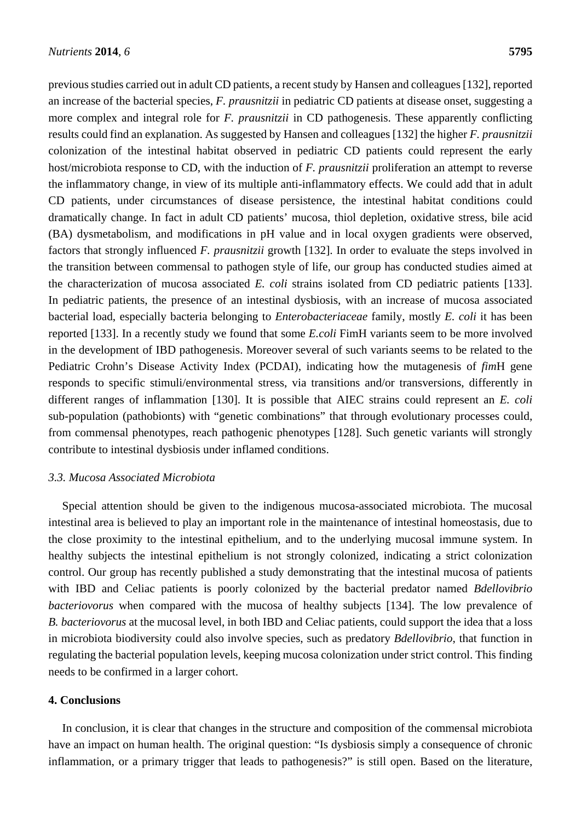previous studies carried out in adult CD patients, a recent study by Hansen and colleagues [132], reported an increase of the bacterial species, *F. prausnitzii* in pediatric CD patients at disease onset, suggesting a more complex and integral role for *F. prausnitzii* in CD pathogenesis. These apparently conflicting results could find an explanation. As suggested by Hansen and colleagues [132] the higher *F. prausnitzii* colonization of the intestinal habitat observed in pediatric CD patients could represent the early host/microbiota response to CD, with the induction of *F. prausnitzii* proliferation an attempt to reverse the inflammatory change, in view of its multiple anti-inflammatory effects. We could add that in adult CD patients, under circumstances of disease persistence, the intestinal habitat conditions could dramatically change. In fact in adult CD patients' mucosa, thiol depletion, oxidative stress, bile acid (BA) dysmetabolism, and modifications in pH value and in local oxygen gradients were observed, factors that strongly influenced *F. prausnitzii* growth [132]. In order to evaluate the steps involved in the transition between commensal to pathogen style of life, our group has conducted studies aimed at the characterization of mucosa associated *E. coli* strains isolated from CD pediatric patients [133]. In pediatric patients, the presence of an intestinal dysbiosis, with an increase of mucosa associated bacterial load, especially bacteria belonging to *Enterobacteriaceae* family, mostly *E. coli* it has been reported [133]. In a recently study we found that some *E.coli* FimH variants seem to be more involved in the development of IBD pathogenesis. Moreover several of such variants seems to be related to the Pediatric Crohn's Disease Activity Index (PCDAI), indicating how the mutagenesis of *fim*H gene responds to specific stimuli/environmental stress, via transitions and/or transversions, differently in different ranges of inflammation [130]. It is possible that AIEC strains could represent an *E. coli* sub-population (pathobionts) with "genetic combinations" that through evolutionary processes could, from commensal phenotypes, reach pathogenic phenotypes [128]. Such genetic variants will strongly contribute to intestinal dysbiosis under inflamed conditions.

#### *3.3. Mucosa Associated Microbiota*

Special attention should be given to the indigenous mucosa-associated microbiota. The mucosal intestinal area is believed to play an important role in the maintenance of intestinal homeostasis, due to the close proximity to the intestinal epithelium, and to the underlying mucosal immune system. In healthy subjects the intestinal epithelium is not strongly colonized, indicating a strict colonization control. Our group has recently published a study demonstrating that the intestinal mucosa of patients with IBD and Celiac patients is poorly colonized by the bacterial predator named *Bdellovibrio bacteriovorus* when compared with the mucosa of healthy subjects [134]. The low prevalence of *B. bacteriovorus* at the mucosal level, in both IBD and Celiac patients, could support the idea that a loss in microbiota biodiversity could also involve species, such as predatory *Bdellovibrio*, that function in regulating the bacterial population levels, keeping mucosa colonization under strict control. This finding needs to be confirmed in a larger cohort.

## **4. Conclusions**

In conclusion, it is clear that changes in the structure and composition of the commensal microbiota have an impact on human health. The original question: "Is dysbiosis simply a consequence of chronic inflammation, or a primary trigger that leads to pathogenesis?" is still open. Based on the literature,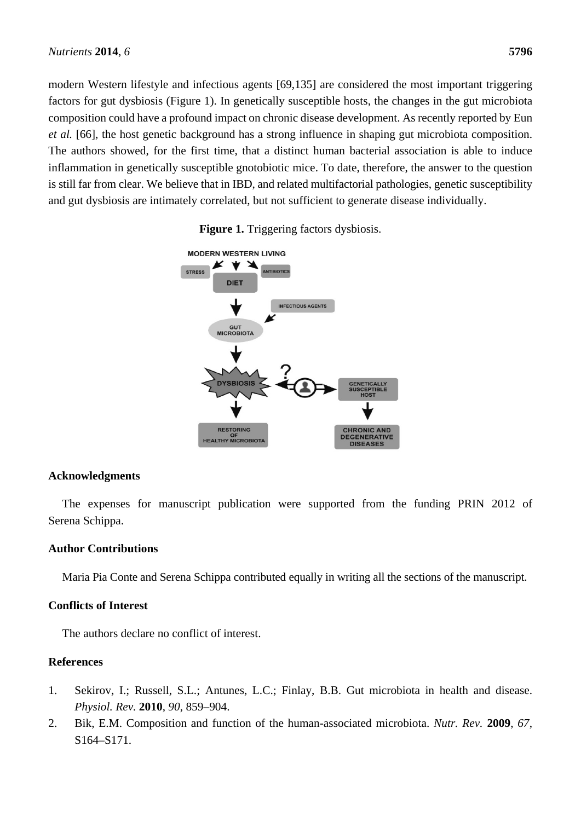modern Western lifestyle and infectious agents [69,135] are considered the most important triggering factors for gut dysbiosis (Figure 1). In genetically susceptible hosts, the changes in the gut microbiota composition could have a profound impact on chronic disease development. As recently reported by Eun *et al.* [66], the host genetic background has a strong influence in shaping gut microbiota composition. The authors showed, for the first time, that a distinct human bacterial association is able to induce inflammation in genetically susceptible gnotobiotic mice. To date, therefore, the answer to the question is still far from clear. We believe that in IBD, and related multifactorial pathologies, genetic susceptibility and gut dysbiosis are intimately correlated, but not sufficient to generate disease individually.



**Figure 1.** Triggering factors dysbiosis.

# **Acknowledgments**

The expenses for manuscript publication were supported from the funding PRIN 2012 of Serena Schippa.

# **Author Contributions**

Maria Pia Conte and Serena Schippa contributed equally in writing all the sections of the manuscript.

# **Conflicts of Interest**

The authors declare no conflict of interest.

# **References**

- 1. Sekirov, I.; Russell, S.L.; Antunes, L.C.; Finlay, B.B. Gut microbiota in health and disease. *Physiol. Rev.* **2010**, *90*, 859–904.
- 2. Bik, E.M. Composition and function of the human-associated microbiota. *Nutr. Rev.* **2009**, *67*, S164–S171.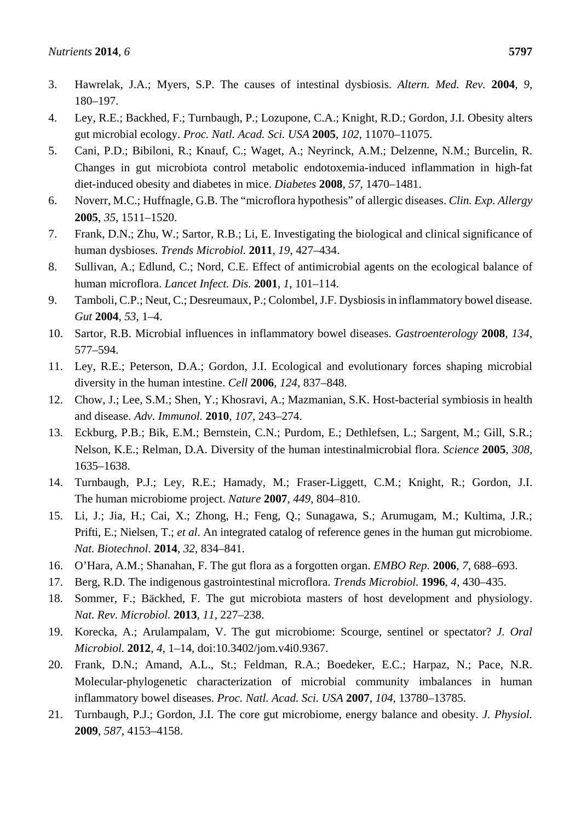- 4. Ley, R.E.; Backhed, F.; Turnbaugh, P.; Lozupone, C.A.; Knight, R.D.; Gordon, J.I. Obesity alters gut microbial ecology. *Proc. Natl. Acad. Sci. USA* **2005**, *102*, 11070–11075.
- 5. Cani, P.D.; Bibiloni, R.; Knauf, C.; Waget, A.; Neyrinck, A.M.; Delzenne, N.M.; Burcelin, R. Changes in gut microbiota control metabolic endotoxemia-induced inflammation in high-fat diet-induced obesity and diabetes in mice. *Diabetes* **2008**, *57*, 1470–1481.
- 6. Noverr, M.C.; Huffnagle, G.B. The "microflora hypothesis" of allergic diseases. *Clin. Exp. Allergy* **2005**, *35*, 1511–1520.
- 7. Frank, D.N.; Zhu, W.; Sartor, R.B.; Li, E. Investigating the biological and clinical significance of human dysbioses. *Trends Microbiol.* **2011**, *19*, 427–434.
- 8. Sullivan, A.; Edlund, C.; Nord, C.E. Effect of antimicrobial agents on the ecological balance of human microflora. *Lancet Infect. Dis.* **2001**, *1*, 101–114.
- 9. Tamboli, C.P.; Neut, C.; Desreumaux, P.; Colombel, J.F. Dysbiosis in inflammatory bowel disease. *Gut* **2004**, *53*, 1–4.
- 10. Sartor, R.B. Microbial influences in inflammatory bowel diseases. *Gastroenterology* **2008**, *134*, 577–594.
- 11. Ley, R.E.; Peterson, D.A.; Gordon, J.I. Ecological and evolutionary forces shaping microbial diversity in the human intestine. *Cell* **2006**, *124*, 837–848.
- 12. Chow, J.; Lee, S.M.; Shen, Y.; Khosravi, A.; Mazmanian, S.K. Host-bacterial symbiosis in health and disease. *Adv. Immunol.* **2010**, *107*, 243–274.
- 13. Eckburg, P.B.; Bik, E.M.; Bernstein, C.N.; Purdom, E.; Dethlefsen, L.; Sargent, M.; Gill, S.R.; Nelson, K.E.; Relman, D.A. Diversity of the human intestinalmicrobial flora. *Science* **2005**, *308*, 1635–1638.
- 14. Turnbaugh, P.J.; Ley, R.E.; Hamady, M.; Fraser-Liggett, C.M.; Knight, R.; Gordon, J.I. The human microbiome project. *Nature* **2007**, *449*, 804–810.
- 15. Li, J.; Jia, H.; Cai, X.; Zhong, H.; Feng, Q.; Sunagawa, S.; Arumugam, M.; Kultima, J.R.; Prifti, E.; Nielsen, T.; *et al*. An integrated catalog of reference genes in the human gut microbiome. *Nat. Biotechnol.* **2014**, *32*, 834–841.
- 16. O'Hara, A.M.; Shanahan, F. The gut flora as a forgotten organ. *EMBO Rep.* **2006**, *7*, 688–693.
- 17. Berg, R.D. The indigenous gastrointestinal microflora. *Trends Microbiol.* **1996**, *4*, 430–435.
- 18. Sommer, F.; Bäckhed, F. The gut microbiota masters of host development and physiology. *Nat. Rev. Microbiol.* **2013**, *11*, 227–238.
- 19. Korecka, A.; Arulampalam, V. The gut microbiome: Scourge, sentinel or spectator? *J. Oral Microbiol.* **2012**, *4*, 1–14, doi:10.3402/jom.v4i0.9367.
- 20. Frank, D.N.; Amand, A.L., St.; Feldman, R.A.; Boedeker, E.C.; Harpaz, N.; Pace, N.R. Molecular-phylogenetic characterization of microbial community imbalances in human inflammatory bowel diseases. *Proc. Natl. Acad. Sci. USA* **2007**, *104*, 13780–13785.
- 21. Turnbaugh, P.J.; Gordon, J.I. The core gut microbiome, energy balance and obesity. *J. Physiol.* **2009**, *587*, 4153–4158.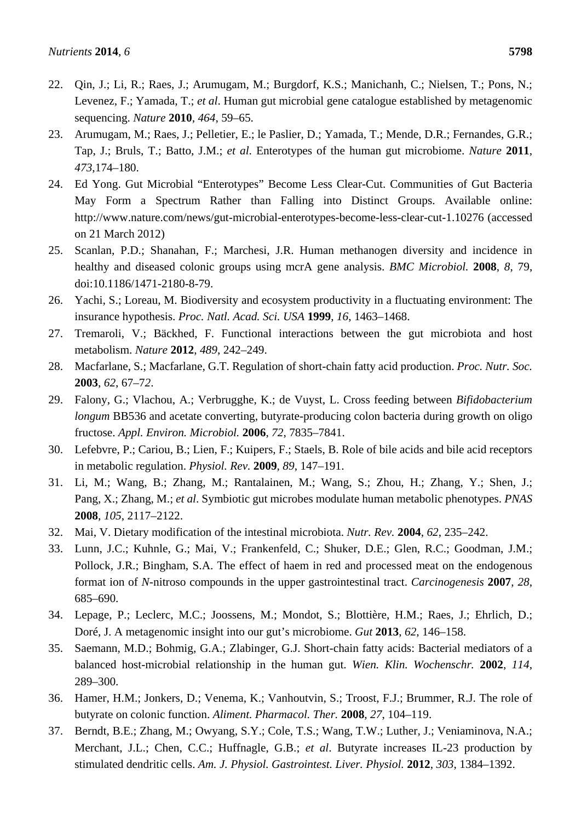- 22. Qin, J.; Li, R.; Raes, J.; Arumugam, M.; Burgdorf, K.S.; Manichanh, C.; Nielsen, T.; Pons, N.; Levenez, F.; Yamada, T.; *et al*. Human gut microbial gene catalogue established by metagenomic sequencing. *Nature* **2010**, *464*, 59–65.
- 23. Arumugam, M.; Raes, J.; Pelletier, E.; le Paslier, D.; Yamada, T.; Mende, D.R.; Fernandes, G.R.; Tap, J.; Bruls, T.; Batto, J.M.; *et al*. Enterotypes of the human gut microbiome. *Nature* **2011**, *473*,174–180.
- 24. Ed Yong. Gut Microbial "Enterotypes" Become Less Clear-Cut. Communities of Gut Bacteria May Form a Spectrum Rather than Falling into Distinct Groups. Available online: http://www.nature.com/news/gut-microbial-enterotypes-become-less-clear-cut-1.10276 (accessed on 21 March 2012)
- 25. Scanlan, P.D.; Shanahan, F.; Marchesi, J.R. Human methanogen diversity and incidence in healthy and diseased colonic groups using mcrA gene analysis. *BMC Microbiol.* **2008**, *8*, 79, doi:10.1186/1471-2180-8-79.
- 26. Yachi, S.; Loreau, M. Biodiversity and ecosystem productivity in a fluctuating environment: The insurance hypothesis. *Proc. Natl. Acad. Sci. USA* **1999**, *16*, 1463–1468.
- 27. Tremaroli, V.; Bäckhed, F. Functional interactions between the gut microbiota and host metabolism. *Nature* **2012**, *489*, 242–249.
- 28. Macfarlane, S.; Macfarlane, G.T. Regulation of short-chain fatty acid production. *Proc. Nutr. Soc.* **2003**, *62*, 67–7*2*.
- 29. Falony, G.; Vlachou, A.; Verbrugghe, K.; de Vuyst, L. Cross feeding between *Bifidobacterium longum* BB536 and acetate converting, butyrate-producing colon bacteria during growth on oligo fructose. *Appl. Environ. Microbiol.* **2006**, *72*, 7835–7841.
- 30. Lefebvre, P.; Cariou, B.; Lien, F.; Kuipers, F.; Staels, B. Role of bile acids and bile acid receptors in metabolic regulation. *Physiol. Rev.* **2009**, *89*, 147–191.
- 31. Li, M.; Wang, B.; Zhang, M.; Rantalainen, M.; Wang, S.; Zhou, H.; Zhang, Y.; Shen, J.; Pang, X.; Zhang, M.; *et al*. Symbiotic gut microbes modulate human metabolic phenotypes. *PNAS* **2008**, *105*, 2117–2122.
- 32. Mai, V. Dietary modification of the intestinal microbiota. *Nutr. Rev.* **2004**, *62*, 235–242.
- 33. Lunn, J.C.; Kuhnle, G.; Mai, V.; Frankenfeld, C.; Shuker, D.E.; Glen, R.C.; Goodman, J.M.; Pollock, J.R.; Bingham, S.A. The effect of haem in red and processed meat on the endogenous format ion of *N*-nitroso compounds in the upper gastrointestinal tract. *Carcinogenesis* **2007**, *28*, 685–690.
- 34. Lepage, P.; Leclerc, M.C.; Joossens, M.; Mondot, S.; Blottière, H.M.; Raes, J.; Ehrlich, D.; Doré, J. A metagenomic insight into our gut's microbiome. *Gut* **2013**, *62*, 146–158.
- 35. Saemann, M.D.; Bohmig, G.A.; Zlabinger, G.J. Short-chain fatty acids: Bacterial mediators of a balanced host-microbial relationship in the human gut. *Wien. Klin. Wochenschr.* **2002**, *114*, 289–300.
- 36. Hamer, H.M.; Jonkers, D.; Venema, K.; Vanhoutvin, S.; Troost, F.J.; Brummer, R.J. The role of butyrate on colonic function. *Aliment. Pharmacol. Ther.* **2008**, *27*, 104–119.
- 37. Berndt, B.E.; Zhang, M.; Owyang, S.Y.; Cole, T.S.; Wang, T.W.; Luther, J.; Veniaminova, N.A.; Merchant, J.L.; Chen, C.C.; Huffnagle, G.B.; *et al*. Butyrate increases IL-23 production by stimulated dendritic cells. *Am. J. Physiol. Gastrointest. Liver. Physiol.* **2012**, *303*, 1384–1392.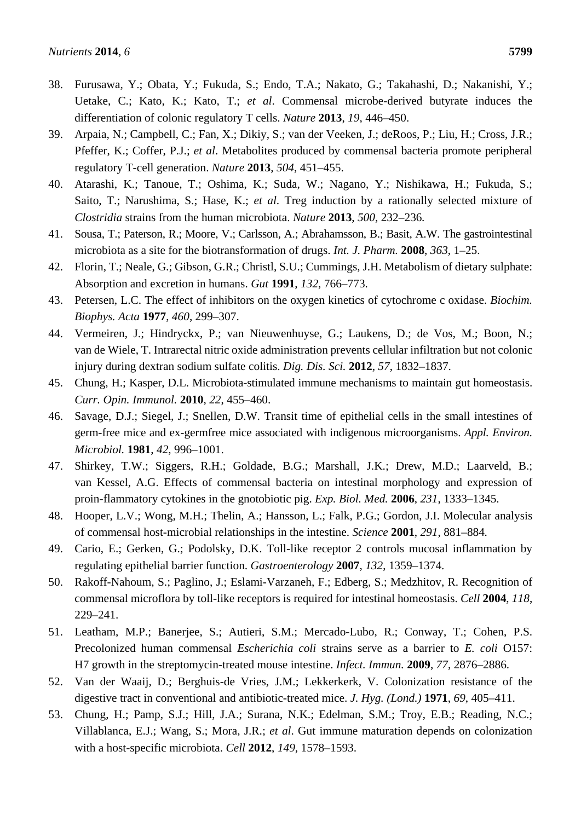- 38. Furusawa, Y.; Obata, Y.; Fukuda, S.; Endo, T.A.; Nakato, G.; Takahashi, D.; Nakanishi, Y.; Uetake, C.; Kato, K.; Kato, T.; *et al*. Commensal microbe-derived butyrate induces the differentiation of colonic regulatory T cells. *Nature* **2013**, *19*, 446–450.
- 39. Arpaia, N.; Campbell, C.; Fan, X.; Dikiy, S.; van der Veeken, J.; deRoos, P.; Liu, H.; Cross, J.R.; Pfeffer, K.; Coffer, P.J.; *et al*. Metabolites produced by commensal bacteria promote peripheral regulatory T-cell generation. *Nature* **2013**, *504*, 451–455.
- 40. Atarashi, K.; Tanoue, T.; Oshima, K.; Suda, W.; Nagano, Y.; Nishikawa, H.; Fukuda, S.; Saito, T.; Narushima, S.; Hase, K.; *et al*. Treg induction by a rationally selected mixture of *Clostridia* strains from the human microbiota. *Nature* **2013**, *500*, 232–236*.*
- 41. Sousa, T.; Paterson, R.; Moore, V.; Carlsson, A.; Abrahamsson, B.; Basit, A.W. The gastrointestinal microbiota as a site for the biotransformation of drugs. *Int. J. Pharm.* **2008**, *363*, 1–25.
- 42. Florin, T.; Neale, G.; Gibson, G.R.; Christl, S.U.; Cummings, J.H. Metabolism of dietary sulphate: Absorption and excretion in humans. *Gut* **1991**, *132*, 766–773.
- 43. Petersen, L.C. The effect of inhibitors on the oxygen kinetics of cytochrome c oxidase. *Biochim. Biophys. Acta* **1977**, *460*, 299–307.
- 44. Vermeiren, J.; Hindryckx, P.; van Nieuwenhuyse, G.; Laukens, D.; de Vos, M.; Boon, N.; van de Wiele, T. Intrarectal nitric oxide administration prevents cellular infiltration but not colonic injury during dextran sodium sulfate colitis. *Dig. Dis. Sci.* **2012**, *57*, 1832–1837.
- 45. Chung, H.; Kasper, D.L. Microbiota-stimulated immune mechanisms to maintain gut homeostasis. *Curr. Opin. Immunol.* **2010**, *22*, 455–460.
- 46. Savage, D.J.; Siegel, J.; Snellen, D.W. Transit time of epithelial cells in the small intestines of germ-free mice and ex-germfree mice associated with indigenous microorganisms. *Appl. Environ. Microbiol.* **1981**, *42*, 996–1001.
- 47. Shirkey, T.W.; Siggers, R.H.; Goldade, B.G.; Marshall, J.K.; Drew, M.D.; Laarveld, B.; van Kessel, A.G. Effects of commensal bacteria on intestinal morphology and expression of proin-flammatory cytokines in the gnotobiotic pig. *Exp. Biol. Med.* **2006**, *231*, 1333–1345.
- 48. Hooper, L.V.; Wong, M.H.; Thelin, A.; Hansson, L.; Falk, P.G.; Gordon, J.I. Molecular analysis of commensal host-microbial relationships in the intestine. *Science* **2001**, *291*, 881–884*.*
- 49. Cario, E.; Gerken, G.; Podolsky, D.K. Toll-like receptor 2 controls mucosal inflammation by regulating epithelial barrier function. *Gastroenterology* **2007**, *132*, 1359–1374.
- 50. Rakoff-Nahoum, S.; Paglino, J.; Eslami-Varzaneh, F.; Edberg, S.; Medzhitov, R. Recognition of commensal microflora by toll-like receptors is required for intestinal homeostasis. *Cell* **2004**, *118*, 229–241.
- 51. Leatham, M.P.; Banerjee, S.; Autieri, S.M.; Mercado-Lubo, R.; Conway, T.; Cohen, P.S. Precolonized human commensal *Escherichia coli* strains serve as a barrier to *E. coli* O157: H7 growth in the streptomycin-treated mouse intestine. *Infect. Immun.* **2009**, *77*, 2876–2886.
- 52. Van der Waaij, D.; Berghuis-de Vries, J.M.; Lekkerkerk, V. Colonization resistance of the digestive tract in conventional and antibiotic-treated mice. *J. Hyg. (Lond.)* **1971**, *69*, 405–411.
- 53. Chung, H.; Pamp, S.J.; Hill, J.A.; Surana, N.K.; Edelman, S.M.; Troy, E.B.; Reading, N.C.; Villablanca, E.J.; Wang, S.; Mora, J.R.; *et al*. Gut immune maturation depends on colonization with a host-specific microbiota. *Cell* **2012**, *149*, 1578–1593.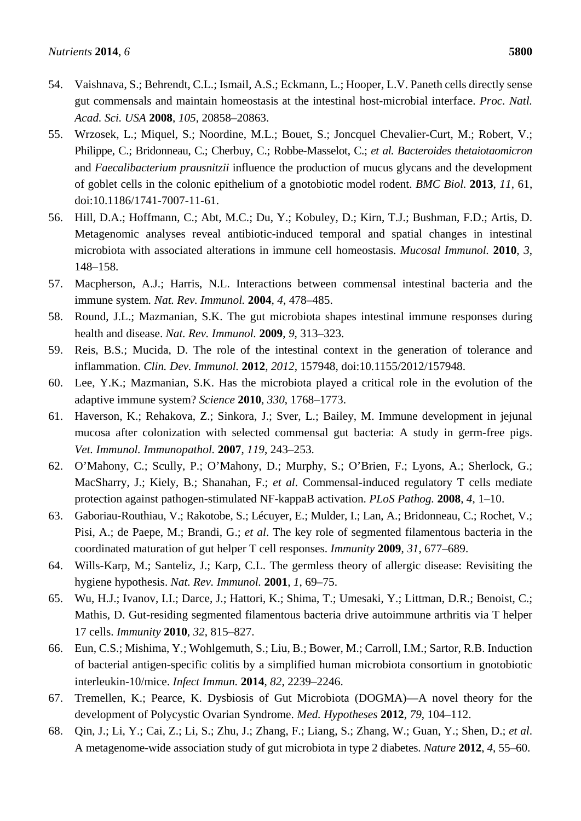- 54. Vaishnava, S.; Behrendt, C.L.; Ismail, A.S.; Eckmann, L.; Hooper, L.V. Paneth cells directly sense gut commensals and maintain homeostasis at the intestinal host-microbial interface. *Proc. Natl. Acad. Sci. USA* **2008**, *105*, 20858–20863.
- 55. Wrzosek, L.; Miquel, S.; Noordine, M.L.; Bouet, S.; Joncquel Chevalier-Curt, M.; Robert, V.; Philippe, C.; Bridonneau, C.; Cherbuy, C.; Robbe-Masselot, C.; *et al. Bacteroides thetaiotaomicron* and *Faecalibacterium prausnitzii* influence the production of mucus glycans and the development of goblet cells in the colonic epithelium of a gnotobiotic model rodent. *BMC Biol.* **2013**, *11*, 61, doi:10.1186/1741-7007-11-61.
- 56. Hill, D.A.; Hoffmann, C.; Abt, M.C.; Du, Y.; Kobuley, D.; Kirn, T.J.; Bushman, F.D.; Artis, D. Metagenomic analyses reveal antibiotic-induced temporal and spatial changes in intestinal microbiota with associated alterations in immune cell homeostasis. *Mucosal Immunol.* **2010**, *3*, 148–158.
- 57. Macpherson, A.J.; Harris, N.L. Interactions between commensal intestinal bacteria and the immune system*. Nat. Rev. Immunol.* **2004**, *4*, 478–485.
- 58. Round, J.L.; Mazmanian, S.K. The gut microbiota shapes intestinal immune responses during health and disease. *Nat. Rev. Immunol.* **2009**, *9*, 313–323.
- 59. Reis, B.S.; Mucida, D. The role of the intestinal context in the generation of tolerance and inflammation. *Clin. Dev. Immunol.* **2012**, *2012*, 157948, doi:10.1155/2012/157948.
- 60. Lee, Y.K.; Mazmanian, S.K. Has the microbiota played a critical role in the evolution of the adaptive immune system? *Science* **2010**, *330*, 1768–1773.
- 61. Haverson, K.; Rehakova, Z.; Sinkora, J.; Sver, L.; Bailey, M. Immune development in jejunal mucosa after colonization with selected commensal gut bacteria: A study in germ-free pigs. *Vet. Immunol. Immunopathol.* **2007**, *119*, 243–253.
- 62. O'Mahony, C.; Scully, P.; O'Mahony, D.; Murphy, S.; O'Brien, F.; Lyons, A.; Sherlock, G.; MacSharry, J.; Kiely, B.; Shanahan, F.; *et al*. Commensal-induced regulatory T cells mediate protection against pathogen-stimulated NF-kappaB activation. *PLoS Pathog.* **2008**, *4*, 1–10.
- 63. Gaboriau-Routhiau, V.; Rakotobe, S.; Lécuyer, E.; Mulder, I.; Lan, A.; Bridonneau, C.; Rochet, V.; Pisi, A.; de Paepe, M.; Brandi, G.; *et al*. The key role of segmented filamentous bacteria in the coordinated maturation of gut helper T cell responses. *Immunity* **2009**, *31*, 677–689.
- 64. Wills-Karp, M.; Santeliz, J.; Karp, C.L. The germless theory of allergic disease: Revisiting the hygiene hypothesis. *Nat. Rev. Immunol.* **2001**, *1*, 69–75.
- 65. Wu, H.J.; Ivanov, I.I.; Darce, J.; Hattori, K.; Shima, T.; Umesaki, Y.; Littman, D.R.; Benoist, C.; Mathis, D. Gut-residing segmented filamentous bacteria drive autoimmune arthritis via T helper 17 cells. *Immunity* **2010**, *32*, 815–827.
- 66. Eun, C.S.; Mishima, Y.; Wohlgemuth, S.; Liu, B.; Bower, M.; Carroll, I.M.; Sartor, R.B. Induction of bacterial antigen-specific colitis by a simplified human microbiota consortium in gnotobiotic interleukin-10/mice. *Infect Immun.* **2014**, *82*, 2239–2246.
- 67. Tremellen, K.; Pearce, K. Dysbiosis of Gut Microbiota (DOGMA)—A novel theory for the development of Polycystic Ovarian Syndrome. *Med. Hypotheses* **2012**, *79*, 104–112.
- 68. Qin, J.; Li, Y.; Cai, Z.; Li, S.; Zhu, J.; Zhang, F.; Liang, S.; Zhang, W.; Guan, Y.; Shen, D.; *et al*. A metagenome-wide association study of gut microbiota in type 2 diabetes. *Nature* **2012**, *4*, 55–60.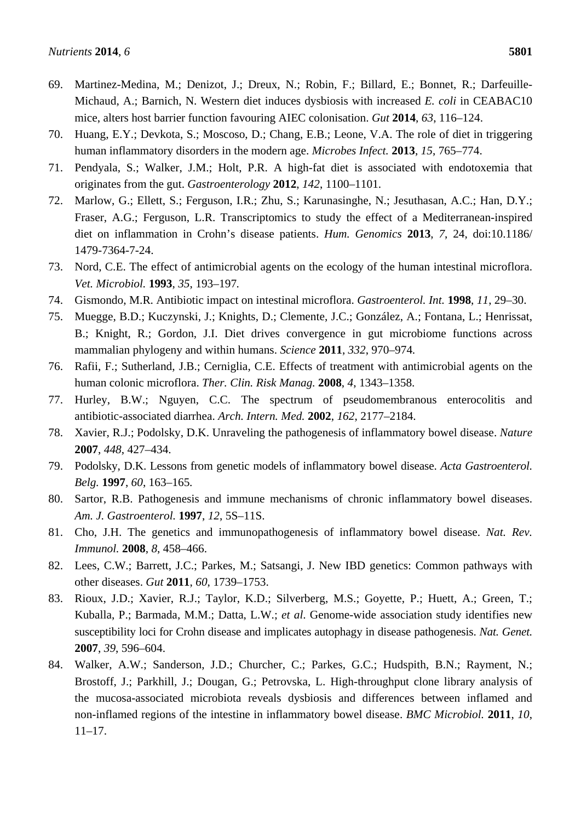- 69. Martinez-Medina, M.; Denizot, J.; Dreux, N.; Robin, F.; Billard, E.; Bonnet, R.; Darfeuille-Michaud, A.; Barnich, N. Western diet induces dysbiosis with increased *E. coli* in CEABAC10 mice, alters host barrier function favouring AIEC colonisation. *Gut* **2014**, *63*, 116–124.
- 70. Huang, E.Y.; Devkota, S.; Moscoso, D.; Chang, E.B.; Leone, V.A. The role of diet in triggering human inflammatory disorders in the modern age. *Microbes Infect.* **2013**, *15*, 765–774.
- 71. Pendyala, S.; Walker, J.M.; Holt, P.R. A high-fat diet is associated with endotoxemia that originates from the gut. *Gastroenterology* **2012**, *142*, 1100–1101.
- 72. Marlow, G.; Ellett, S.; Ferguson, I.R.; Zhu, S.; Karunasinghe, N.; Jesuthasan, A.C.; Han, D.Y.; Fraser, A.G.; Ferguson, L.R. Transcriptomics to study the effect of a Mediterranean-inspired diet on inflammation in Crohn's disease patients. *Hum. Genomics* **2013**, *7*, 24, doi:10.1186/ 1479-7364-7-24.
- 73. Nord, C.E. The effect of antimicrobial agents on the ecology of the human intestinal microflora. *Vet. Microbiol.* **1993**, *35*, 193–197*.*
- 74. Gismondo, M.R. Antibiotic impact on intestinal microflora. *Gastroenterol. Int.* **1998**, *11*, 29–30.
- 75. Muegge, B.D.; Kuczynski, J.; Knights, D.; Clemente, J.C.; González, A.; Fontana, L.; Henrissat, B.; Knight, R.; Gordon, J.I. Diet drives convergence in gut microbiome functions across mammalian phylogeny and within humans. *Science* **2011**, *332*, 970–974*.*
- 76. Rafii, F.; Sutherland, J.B.; Cerniglia, C.E. Effects of treatment with antimicrobial agents on the human colonic microflora. *Ther. Clin. Risk Manag.* **2008**, *4*, 1343–1358.
- 77. Hurley, B.W.; Nguyen, C.C. The spectrum of pseudomembranous enterocolitis and antibiotic-associated diarrhea. *Arch. Intern. Med.* **2002**, *162*, 2177–2184.
- 78. Xavier, R.J.; Podolsky, D.K. Unraveling the pathogenesis of inflammatory bowel disease. *Nature*  **2007**, *448*, 427*–*434.
- 79. Podolsky, D.K. Lessons from genetic models of inflammatory bowel disease. *Acta Gastroenterol. Belg.* **1997**, *60*, 163–165*.*
- 80. Sartor, R.B. Pathogenesis and immune mechanisms of chronic inflammatory bowel diseases. *Am. J. Gastroenterol.* **1997**, *12*, 5S–11S.
- 81. Cho, J.H. The genetics and immunopathogenesis of inflammatory bowel disease. *Nat. Rev. Immunol.* **2008**, *8*, 458–466.
- 82. Lees, C.W.; Barrett, J.C.; Parkes, M.; Satsangi, J. New IBD genetics: Common pathways with other diseases. *Gut* **2011**, *60*, 1739–1753.
- 83. Rioux, J.D.; Xavier, R.J.; Taylor, K.D.; Silverberg, M.S.; Goyette, P.; Huett, A.; Green, T.; Kuballa, P.; Barmada, M.M.; Datta, L.W.; *et al*. Genome-wide association study identifies new susceptibility loci for Crohn disease and implicates autophagy in disease pathogenesis. *Nat. Genet.* **2007**, *39*, 596–604.
- 84. Walker, A.W.; Sanderson, J.D.; Churcher, C.; Parkes, G.C.; Hudspith, B.N.; Rayment, N.; Brostoff, J.; Parkhill, J.; Dougan, G.; Petrovska, L. High-throughput clone library analysis of the mucosa-associated microbiota reveals dysbiosis and differences between inflamed and non-inflamed regions of the intestine in inflammatory bowel disease. *BMC Microbiol.* **2011**, *10*, 11–17.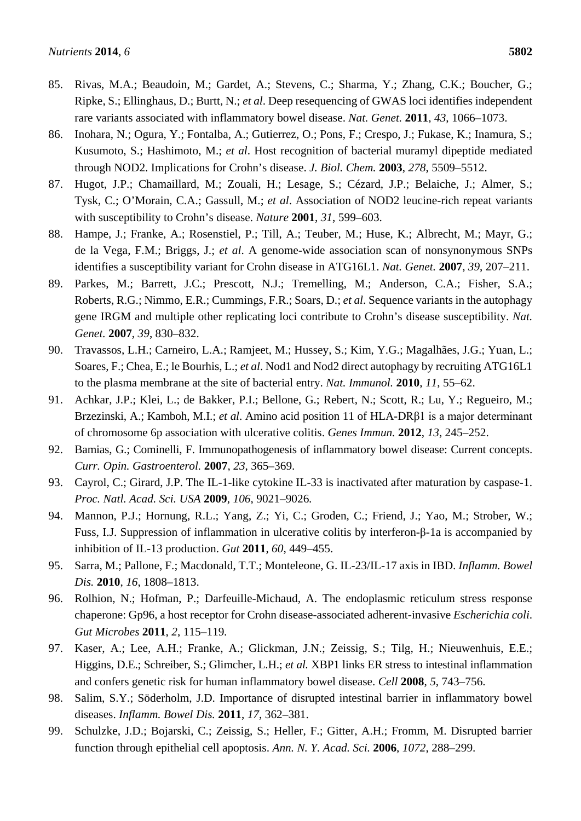- 85. Rivas, M.A.; Beaudoin, M.; Gardet, A.; Stevens, C.; Sharma, Y.; Zhang, C.K.; Boucher, G.; Ripke, S.; Ellinghaus, D.; Burtt, N.; *et al*. Deep resequencing of GWAS loci identifies independent rare variants associated with inflammatory bowel disease. *Nat. Genet.* **2011**, *43*, 1066–1073.
- 86. Inohara, N.; Ogura, Y.; Fontalba, A.; Gutierrez, O.; Pons, F.; Crespo, J.; Fukase, K.; Inamura, S.; Kusumoto, S.; Hashimoto, M.; *et al*. Host recognition of bacterial muramyl dipeptide mediated through NOD2. Implications for Crohn's disease. *J. Biol. Chem.* **2003**, *278*, 5509–5512.
- 87. Hugot, J.P.; Chamaillard, M.; Zouali, H.; Lesage, S.; Cézard, J.P.; Belaiche, J.; Almer, S.; Tysk, C.; O'Morain, C.A.; Gassull, M.; *et al*. Association of NOD2 leucine-rich repeat variants with susceptibility to Crohn's disease. *Nature* **2001**, *31*, 599–603.
- 88. Hampe, J.; Franke, A.; Rosenstiel, P.; Till, A.; Teuber, M.; Huse, K.; Albrecht, M.; Mayr, G.; de la Vega, F.M.; Briggs, J.; *et al*. A genome-wide association scan of nonsynonymous SNPs identifies a susceptibility variant for Crohn disease in ATG16L1. *Nat. Genet.* **2007**, *39*, 207–211.
- 89. Parkes, M.; Barrett, J.C.; Prescott, N.J.; Tremelling, M.; Anderson, C.A.; Fisher, S.A.; Roberts, R.G.; Nimmo, E.R.; Cummings, F.R.; Soars, D.; *et al*. Sequence variants in the autophagy gene IRGM and multiple other replicating loci contribute to Crohn's disease susceptibility. *Nat. Genet.* **2007**, *39*, 830–832.
- 90. Travassos, L.H.; Carneiro, L.A.; Ramjeet, M.; Hussey, S.; Kim, Y.G.; Magalhães, J.G.; Yuan, L.; Soares, F.; Chea, E.; le Bourhis, L.; *et al*. Nod1 and Nod2 direct autophagy by recruiting ATG16L1 to the plasma membrane at the site of bacterial entry. *Nat. Immunol.* **2010**, *11*, 55–62.
- 91. Achkar, J.P.; Klei, L.; de Bakker, P.I.; Bellone, G.; Rebert, N.; Scott, R.; Lu, Y.; Regueiro, M.; Brzezinski, A.; Kamboh, M.I.; *et al*. Amino acid position 11 of HLA-DRβ1 is a major determinant of chromosome 6p association with ulcerative colitis. *Genes Immun.* **2012**, *13*, 245–252.
- 92. Bamias, G.; Cominelli, F. Immunopathogenesis of inflammatory bowel disease: Current concepts. *Curr. Opin. Gastroenterol.* **2007**, *23*, 365–369.
- 93. Cayrol, C.; Girard, J.P. The IL-1-like cytokine IL-33 is inactivated after maturation by caspase-1. *Proc. Natl. Acad. Sci. USA* **2009**, *106*, 9021–9026*.*
- 94. Mannon, P.J.; Hornung, R.L.; Yang, Z.; Yi, C.; Groden, C.; Friend, J.; Yao, M.; Strober, W.; Fuss, I.J. Suppression of inflammation in ulcerative colitis by interferon-β-1a is accompanied by inhibition of IL-13 production. *Gut* **2011**, *60*, 449–455.
- 95. Sarra, M.; Pallone, F.; Macdonald, T.T.; Monteleone, G. IL-23/IL-17 axis in IBD. *Inflamm. Bowel Dis.* **2010**, *16*, 1808–1813.
- 96. Rolhion, N.; Hofman, P.; Darfeuille-Michaud, A. The endoplasmic reticulum stress response chaperone: Gp96, a host receptor for Crohn disease-associated adherent-invasive *Escherichia coli*. *Gut Microbes* **2011**, *2*, 115–119*.*
- 97. Kaser, A.; Lee, A.H.; Franke, A.; Glickman, J.N.; Zeissig, S.; Tilg, H.; Nieuwenhuis, E.E.; Higgins, D.E.; Schreiber, S.; Glimcher, L.H.; *et al.* XBP1 links ER stress to intestinal inflammation and confers genetic risk for human inflammatory bowel disease. *Cell* **2008**, *5*, 743–756.
- 98. Salim, S.Y.; Söderholm, J.D. Importance of disrupted intestinal barrier in inflammatory bowel diseases. *Inflamm. Bowel Dis.* **2011**, *17*, 362–381.
- 99. Schulzke, J.D.; Bojarski, C.; Zeissig, S.; Heller, F.; Gitter, A.H.; Fromm, M. Disrupted barrier function through epithelial cell apoptosis. *Ann. N. Y. Acad. Sci.* **2006**, *1072*, 288–299.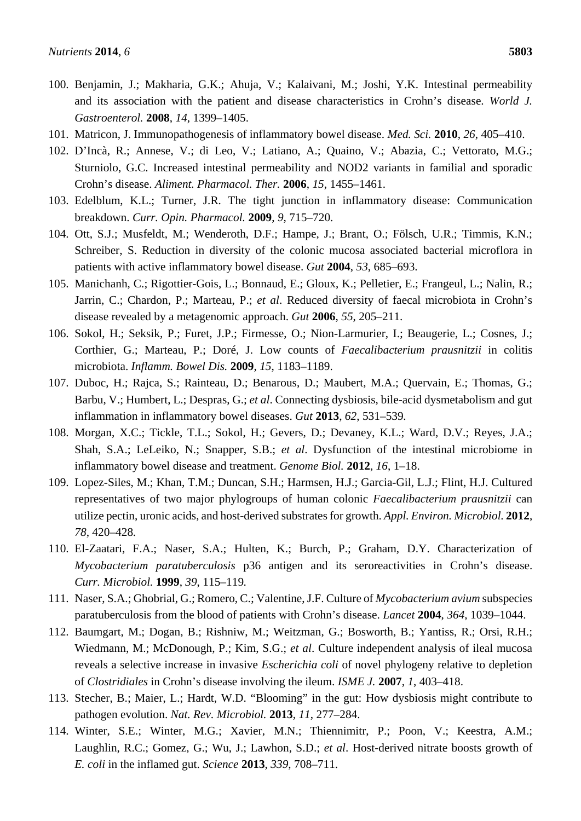- 100. Benjamin, J.; Makharia, G.K.; Ahuja, V.; Kalaivani, M.; Joshi, Y.K. Intestinal permeability and its association with the patient and disease characteristics in Crohn's disease. *World J. Gastroenterol.* **2008**, *14*, 1399–1405.
- 101. Matricon, J. Immunopathogenesis of inflammatory bowel disease. *Med. Sci.* **2010**, *26*, 405–410.
- 102. D'Incà, R.; Annese, V.; di Leo, V.; Latiano, A.; Quaino, V.; Abazia, C.; Vettorato, M.G.; Sturniolo, G.C. Increased intestinal permeability and NOD2 variants in familial and sporadic Crohn's disease. *Aliment. Pharmacol. Ther.* **2006**, *15*, 1455–1461.
- 103. Edelblum, K.L.; Turner, J.R. The tight junction in inflammatory disease: Communication breakdown. *Curr. Opin. Pharmacol.* **2009**, *9*, 715–720.
- 104. Ott, S.J.; Musfeldt, M.; Wenderoth, D.F.; Hampe, J.; Brant, O.; Fölsch, U.R.; Timmis, K.N.; Schreiber, S. Reduction in diversity of the colonic mucosa associated bacterial microflora in patients with active inflammatory bowel disease. *Gut* **2004**, *53*, 685–693.
- 105. Manichanh, C.; Rigottier-Gois, L.; Bonnaud, E.; Gloux, K.; Pelletier, E.; Frangeul, L.; Nalin, R.; Jarrin, C.; Chardon, P.; Marteau, P.; *et al*. Reduced diversity of faecal microbiota in Crohn's disease revealed by a metagenomic approach. *Gut* **2006**, *55*, 205–211.
- 106. Sokol, H.; Seksik, P.; Furet, J.P.; Firmesse, O.; Nion-Larmurier, I.; Beaugerie, L.; Cosnes, J.; Corthier, G.; Marteau, P.; Doré, J. Low counts of *Faecalibacterium prausnitzii* in colitis microbiota. *Inflamm. Bowel Dis.* **2009**, *15*, 1183–1189.
- 107. Duboc, H.; Rajca, S.; Rainteau, D.; Benarous, D.; Maubert, M.A.; Quervain, E.; Thomas, G.; Barbu, V.; Humbert, L.; Despras, G.; *et al*. Connecting dysbiosis, bile-acid dysmetabolism and gut inflammation in inflammatory bowel diseases. *Gut* **2013**, *62*, 531–539*.*
- 108. Morgan, X.C.; Tickle, T.L.; Sokol, H.; Gevers, D.; Devaney, K.L.; Ward, D.V.; Reyes, J.A.; Shah, S.A.; LeLeiko, N.; Snapper, S.B.; *et al*. Dysfunction of the intestinal microbiome in inflammatory bowel disease and treatment. *Genome Biol.* **2012**, *16*, 1–18.
- 109. Lopez-Siles, M.; Khan, T.M.; Duncan, S.H.; Harmsen, H.J.; Garcia-Gil, L.J.; Flint, H.J. Cultured representatives of two major phylogroups of human colonic *Faecalibacterium prausnitzii* can utilize pectin, uronic acids, and host-derived substrates for growth. *Appl. Environ. Microbiol.* **2012**, *78*, 420–428*.*
- 110. El-Zaatari, F.A.; Naser, S.A.; Hulten, K.; Burch, P.; Graham, D.Y. Characterization of *Mycobacterium paratuberculosis* p36 antigen and its seroreactivities in Crohn's disease. *Curr. Microbiol.* **1999**, *39*, 115–119*.*
- 111. Naser, S.A.; Ghobrial, G.; Romero, C.; Valentine, J.F. Culture of *Mycobacterium avium* subspecies paratuberculosis from the blood of patients with Crohn's disease. *Lancet* **2004**, *364*, 1039–1044.
- 112. Baumgart, M.; Dogan, B.; Rishniw, M.; Weitzman, G.; Bosworth, B.; Yantiss, R.; Orsi, R.H.; Wiedmann, M.; McDonough, P.; Kim, S.G.; *et al*. Culture independent analysis of ileal mucosa reveals a selective increase in invasive *Escherichia coli* of novel phylogeny relative to depletion of *Clostridiales* in Crohn's disease involving the ileum. *ISME J.* **2007**, *1*, 403–418.
- 113. Stecher, B.; Maier, L.; Hardt, W.D. "Blooming" in the gut: How dysbiosis might contribute to pathogen evolution. *Nat. Rev. Microbiol.* **2013**, *11*, 277–284.
- 114. Winter, S.E.; Winter, M.G.; Xavier, M.N.; Thiennimitr, P.; Poon, V.; Keestra, A.M.; Laughlin, R.C.; Gomez, G.; Wu, J.; Lawhon, S.D.; *et al*. Host-derived nitrate boosts growth of *E. coli* in the inflamed gut. *Science* **2013**, *339*, 708–711.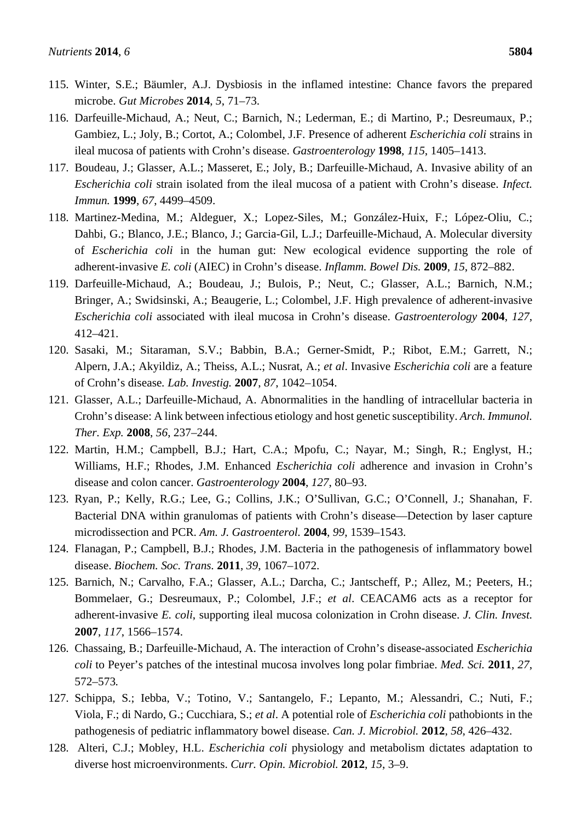- 115. Winter, S.E.; Bäumler, A.J. Dysbiosis in the inflamed intestine: Chance favors the prepared microbe. *Gut Microbes* **2014**, *5*, 71–73.
- 116. Darfeuille-Michaud, A.; Neut, C.; Barnich, N.; Lederman, E.; di Martino, P.; Desreumaux, P.; Gambiez, L.; Joly, B.; Cortot, A.; Colombel, J.F. Presence of adherent *Escherichia coli* strains in ileal mucosa of patients with Crohn's disease. *Gastroenterology* **1998**, *115*, 1405–1413.
- 117. Boudeau, J.; Glasser, A.L.; Masseret, E.; Joly, B.; Darfeuille-Michaud, A. Invasive ability of an *Escherichia coli* strain isolated from the ileal mucosa of a patient with Crohn's disease. *Infect. Immun.* **1999**, *67*, 4499–4509.
- 118. Martinez-Medina, M.; Aldeguer, X.; Lopez-Siles, M.; González-Huix, F.; López-Oliu, C.; Dahbi, G.; Blanco, J.E.; Blanco, J.; Garcia-Gil, L.J.; Darfeuille-Michaud, A. Molecular diversity of *Escherichia coli* in the human gut: New ecological evidence supporting the role of adherent-invasive *E. coli* (AIEC) in Crohn's disease. *Inflamm. Bowel Dis.* **2009**, *15*, 872–882.
- 119. Darfeuille-Michaud, A.; Boudeau, J.; Bulois, P.; Neut, C.; Glasser, A.L.; Barnich, N.M.; Bringer, A.; Swidsinski, A.; Beaugerie, L.; Colombel, J.F. High prevalence of adherent-invasive *Escherichia coli* associated with ileal mucosa in Crohn's disease. *Gastroenterology* **2004**, *127*, 412–421.
- 120. Sasaki, M.; Sitaraman, S.V.; Babbin, B.A.; Gerner-Smidt, P.; Ribot, E.M.; Garrett, N.; Alpern, J.A.; Akyildiz, A.; Theiss, A.L.; Nusrat, A.; *et al*. Invasive *Escherichia coli* are a feature of Crohn's disease*. Lab. Investig.* **2007**, *87*, 1042–1054.
- 121. Glasser, A.L.; Darfeuille-Michaud, A. Abnormalities in the handling of intracellular bacteria in Crohn's disease: A link between infectious etiology and host genetic susceptibility. *Arch. Immunol. Ther. Exp.* **2008**, *56*, 237–244.
- 122. Martin, H.M.; Campbell, B.J.; Hart, C.A.; Mpofu, C.; Nayar, M.; Singh, R.; Englyst, H.; Williams, H.F.; Rhodes, J.M. Enhanced *Escherichia coli* adherence and invasion in Crohn's disease and colon cancer. *Gastroenterology* **2004**, *127*, 80–93.
- 123. Ryan, P.; Kelly, R.G.; Lee, G.; Collins, J.K.; O'Sullivan, G.C.; O'Connell, J.; Shanahan, F. Bacterial DNA within granulomas of patients with Crohn's disease—Detection by laser capture microdissection and PCR. *Am. J. Gastroenterol.* **2004**, *99*, 1539–1543.
- 124. Flanagan, P.; Campbell, B.J.; Rhodes, J.M. Bacteria in the pathogenesis of inflammatory bowel disease. *Biochem. Soc. Trans.* **2011**, *39*, 1067–1072.
- 125. Barnich, N.; Carvalho, F.A.; Glasser, A.L.; Darcha, C.; Jantscheff, P.; Allez, M.; Peeters, H.; Bommelaer, G.; Desreumaux, P.; Colombel, J.F.; *et al*. CEACAM6 acts as a receptor for adherent-invasive *E. coli*, supporting ileal mucosa colonization in Crohn disease. *J. Clin. Invest.*  **2007**, *117*, 1566–1574.
- 126. Chassaing, B.; Darfeuille-Michaud, A. The interaction of Crohn's disease-associated *Escherichia coli* to Peyer's patches of the intestinal mucosa involves long polar fimbriae. *Med. Sci.* **2011**, *27*, 572–573*.*
- 127. Schippa, S.; Iebba, V.; Totino, V.; Santangelo, F.; Lepanto, M.; Alessandri, C.; Nuti, F.; Viola, F.; di Nardo, G.; Cucchiara, S.; *et al*. A potential role of *Escherichia coli* pathobionts in the pathogenesis of pediatric inflammatory bowel disease. *Can. J. Microbiol.* **2012**, *58*, 426–432.
- 128. Alteri, C.J.; Mobley, H.L. *Escherichia coli* physiology and metabolism dictates adaptation to diverse host microenvironments. *Curr. Opin. Microbiol.* **2012**, *15*, 3–9.